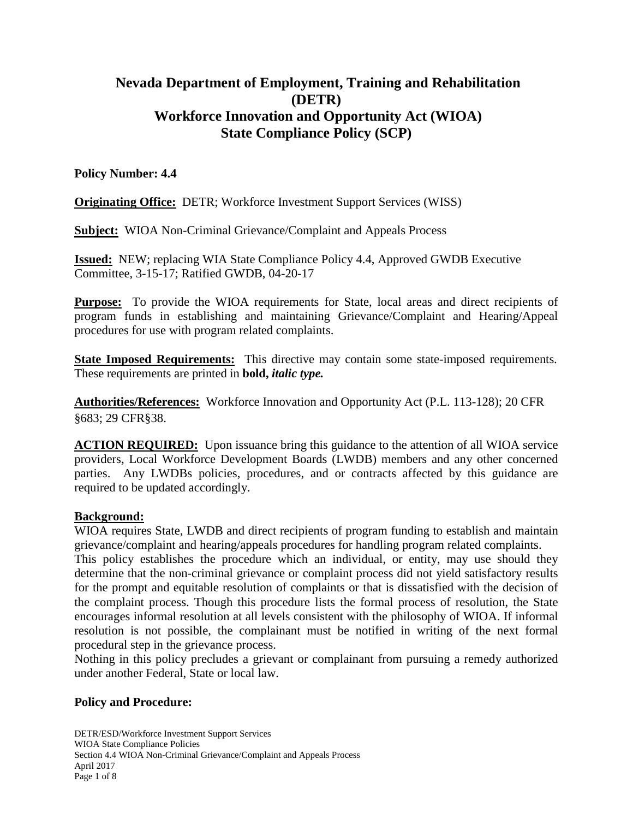# **Nevada Department of Employment, Training and Rehabilitation (DETR) Workforce Innovation and Opportunity Act (WIOA) State Compliance Policy (SCP)**

## **Policy Number: 4.4**

**Originating Office:** DETR; Workforce Investment Support Services (WISS)

**Subject:** WIOA Non-Criminal Grievance/Complaint and Appeals Process

**Issued:** NEW; replacing WIA State Compliance Policy 4.4, Approved GWDB Executive Committee, 3-15-17; Ratified GWDB, 04-20-17

**Purpose:** To provide the WIOA requirements for State, local areas and direct recipients of program funds in establishing and maintaining Grievance/Complaint and Hearing/Appeal procedures for use with program related complaints.

**State Imposed Requirements:** This directive may contain some state-imposed requirements. These requirements are printed in **bold,** *italic type.*

**Authorities/References:** Workforce Innovation and Opportunity Act (P.L. 113-128); 20 CFR §683; 29 CFR§38.

**ACTION REQUIRED:** Upon issuance bring this guidance to the attention of all WIOA service providers, Local Workforce Development Boards (LWDB) members and any other concerned parties. Any LWDBs policies, procedures, and or contracts affected by this guidance are required to be updated accordingly.

## **Background:**

WIOA requires State, LWDB and direct recipients of program funding to establish and maintain grievance/complaint and hearing/appeals procedures for handling program related complaints.

This policy establishes the procedure which an individual, or entity, may use should they determine that the non-criminal grievance or complaint process did not yield satisfactory results for the prompt and equitable resolution of complaints or that is dissatisfied with the decision of the complaint process. Though this procedure lists the formal process of resolution, the State encourages informal resolution at all levels consistent with the philosophy of WIOA. If informal resolution is not possible, the complainant must be notified in writing of the next formal procedural step in the grievance process.

Nothing in this policy precludes a grievant or complainant from pursuing a remedy authorized under another Federal, State or local law.

## **Policy and Procedure:**

DETR/ESD/Workforce Investment Support Services WIOA State Compliance Policies Section 4.4 WIOA Non-Criminal Grievance/Complaint and Appeals Process April 2017 Page 1 of 8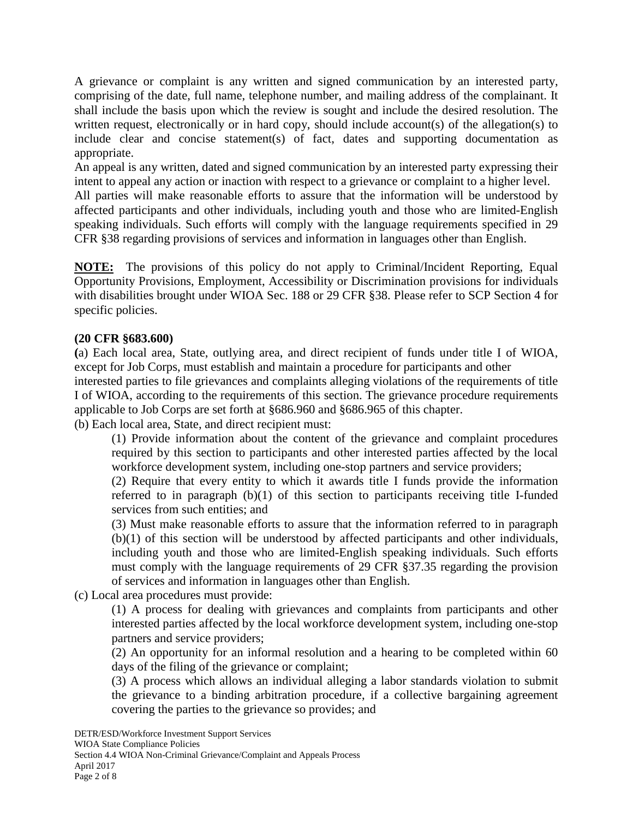A grievance or complaint is any written and signed communication by an interested party, comprising of the date, full name, telephone number, and mailing address of the complainant. It shall include the basis upon which the review is sought and include the desired resolution. The written request, electronically or in hard copy, should include account(s) of the allegation(s) to include clear and concise statement(s) of fact, dates and supporting documentation as appropriate.

An appeal is any written, dated and signed communication by an interested party expressing their intent to appeal any action or inaction with respect to a grievance or complaint to a higher level.

All parties will make reasonable efforts to assure that the information will be understood by affected participants and other individuals, including youth and those who are limited-English speaking individuals. Such efforts will comply with the language requirements specified in 29 CFR §38 regarding provisions of services and information in languages other than English.

**NOTE:** The provisions of this policy do not apply to Criminal/Incident Reporting, Equal Opportunity Provisions, Employment, Accessibility or Discrimination provisions for individuals with disabilities brought under WIOA Sec. 188 or 29 CFR §38. Please refer to SCP Section 4 for specific policies.

#### **(20 CFR §683.600)**

**(**a) Each local area, State, outlying area, and direct recipient of funds under title I of WIOA, except for Job Corps, must establish and maintain a procedure for participants and other interested parties to file grievances and complaints alleging violations of the requirements of title I of WIOA, according to the requirements of this section. The grievance procedure requirements applicable to Job Corps are set forth at §686.960 and §686.965 of this chapter. (b) Each local area, State, and direct recipient must:

(1) Provide information about the content of the grievance and complaint procedures required by this section to participants and other interested parties affected by the local workforce development system, including one-stop partners and service providers;

(2) Require that every entity to which it awards title I funds provide the information referred to in paragraph (b)(1) of this section to participants receiving title I-funded services from such entities; and

(3) Must make reasonable efforts to assure that the information referred to in paragraph (b)(1) of this section will be understood by affected participants and other individuals, including youth and those who are limited-English speaking individuals. Such efforts must comply with the language requirements of 29 CFR §37.35 regarding the provision of services and information in languages other than English.

(c) Local area procedures must provide:

(1) A process for dealing with grievances and complaints from participants and other interested parties affected by the local workforce development system, including one-stop partners and service providers;

(2) An opportunity for an informal resolution and a hearing to be completed within 60 days of the filing of the grievance or complaint;

(3) A process which allows an individual alleging a labor standards violation to submit the grievance to a binding arbitration procedure, if a collective bargaining agreement covering the parties to the grievance so provides; and

DETR/ESD/Workforce Investment Support Services

Section 4.4 WIOA Non-Criminal Grievance/Complaint and Appeals Process April 2017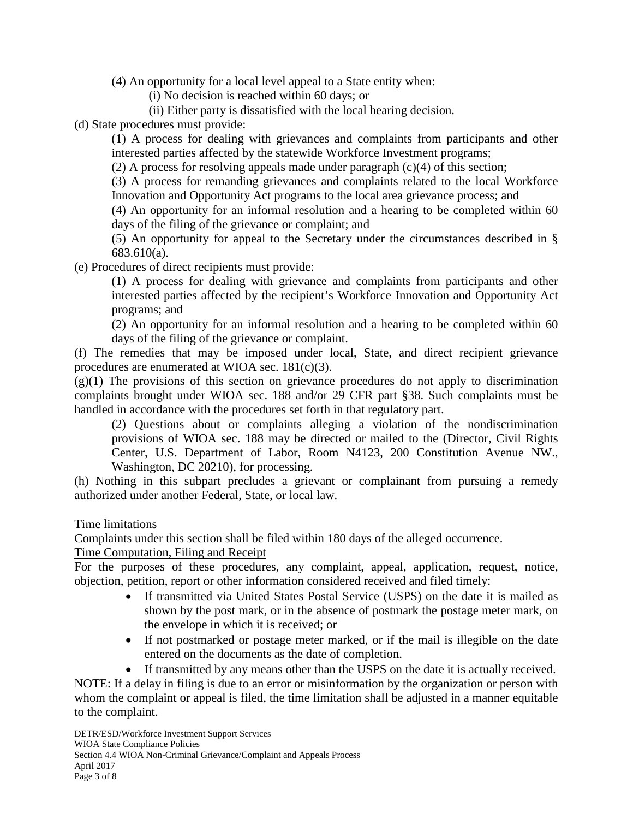(4) An opportunity for a local level appeal to a State entity when:

(i) No decision is reached within 60 days; or

(ii) Either party is dissatisfied with the local hearing decision.

(d) State procedures must provide:

(1) A process for dealing with grievances and complaints from participants and other interested parties affected by the statewide Workforce Investment programs;

(2) A process for resolving appeals made under paragraph (c)(4) of this section;

(3) A process for remanding grievances and complaints related to the local Workforce Innovation and Opportunity Act programs to the local area grievance process; and

(4) An opportunity for an informal resolution and a hearing to be completed within 60 days of the filing of the grievance or complaint; and

(5) An opportunity for appeal to the Secretary under the circumstances described in § 683.610(a).

(e) Procedures of direct recipients must provide:

(1) A process for dealing with grievance and complaints from participants and other interested parties affected by the recipient's Workforce Innovation and Opportunity Act programs; and

(2) An opportunity for an informal resolution and a hearing to be completed within 60 days of the filing of the grievance or complaint.

(f) The remedies that may be imposed under local, State, and direct recipient grievance procedures are enumerated at WIOA sec. 181(c)(3).

 $(g)(1)$  The provisions of this section on grievance procedures do not apply to discrimination complaints brought under WIOA sec. 188 and/or 29 CFR part §38. Such complaints must be handled in accordance with the procedures set forth in that regulatory part.

(2) Questions about or complaints alleging a violation of the nondiscrimination provisions of WIOA sec. 188 may be directed or mailed to the (Director, Civil Rights Center, U.S. Department of Labor, Room N4123, 200 Constitution Avenue NW., Washington, DC 20210), for processing.

(h) Nothing in this subpart precludes a grievant or complainant from pursuing a remedy authorized under another Federal, State, or local law.

Time limitations

Complaints under this section shall be filed within 180 days of the alleged occurrence.

## Time Computation, Filing and Receipt

For the purposes of these procedures, any complaint, appeal, application, request, notice, objection, petition, report or other information considered received and filed timely:

- If transmitted via United States Postal Service (USPS) on the date it is mailed as shown by the post mark, or in the absence of postmark the postage meter mark, on the envelope in which it is received; or
- If not postmarked or postage meter marked, or if the mail is illegible on the date entered on the documents as the date of completion.
- If transmitted by any means other than the USPS on the date it is actually received.

NOTE: If a delay in filing is due to an error or misinformation by the organization or person with whom the complaint or appeal is filed, the time limitation shall be adjusted in a manner equitable to the complaint.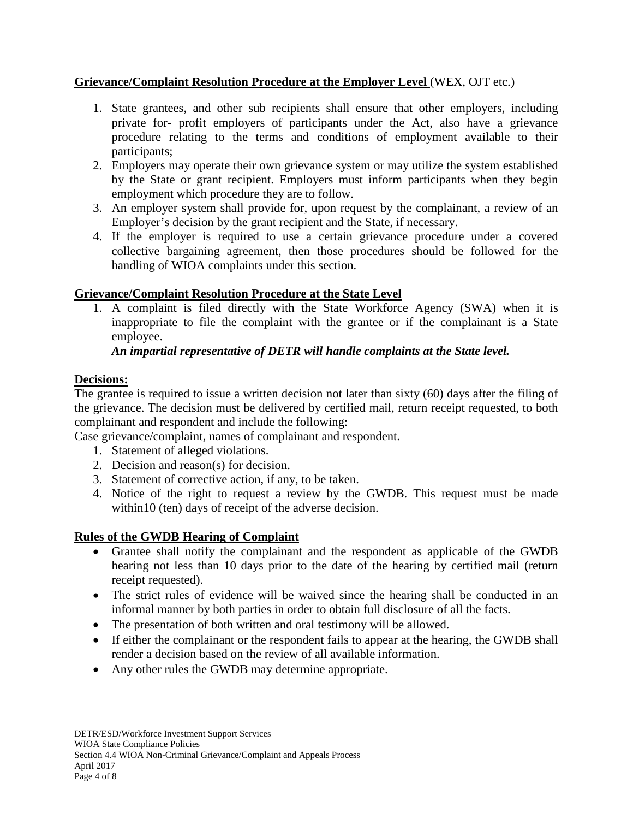## **Grievance/Complaint Resolution Procedure at the Employer Level** (WEX, OJT etc.)

- 1. State grantees, and other sub recipients shall ensure that other employers, including private for- profit employers of participants under the Act, also have a grievance procedure relating to the terms and conditions of employment available to their participants;
- 2. Employers may operate their own grievance system or may utilize the system established by the State or grant recipient. Employers must inform participants when they begin employment which procedure they are to follow.
- 3. An employer system shall provide for, upon request by the complainant, a review of an Employer's decision by the grant recipient and the State, if necessary.
- 4. If the employer is required to use a certain grievance procedure under a covered collective bargaining agreement, then those procedures should be followed for the handling of WIOA complaints under this section.

# **Grievance/Complaint Resolution Procedure at the State Level**

1. A complaint is filed directly with the State Workforce Agency (SWA) when it is inappropriate to file the complaint with the grantee or if the complainant is a State employee.

## *An impartial representative of DETR will handle complaints at the State level.*

## **Decisions:**

The grantee is required to issue a written decision not later than sixty (60) days after the filing of the grievance. The decision must be delivered by certified mail, return receipt requested, to both complainant and respondent and include the following:

Case grievance/complaint, names of complainant and respondent.

- 1. Statement of alleged violations.
- 2. Decision and reason(s) for decision.
- 3. Statement of corrective action, if any, to be taken.
- 4. Notice of the right to request a review by the GWDB. This request must be made within10 (ten) days of receipt of the adverse decision.

## **Rules of the GWDB Hearing of Complaint**

- Grantee shall notify the complainant and the respondent as applicable of the GWDB hearing not less than 10 days prior to the date of the hearing by certified mail (return receipt requested).
- The strict rules of evidence will be waived since the hearing shall be conducted in an informal manner by both parties in order to obtain full disclosure of all the facts.
- The presentation of both written and oral testimony will be allowed.
- If either the complainant or the respondent fails to appear at the hearing, the GWDB shall render a decision based on the review of all available information.
- Any other rules the GWDB may determine appropriate.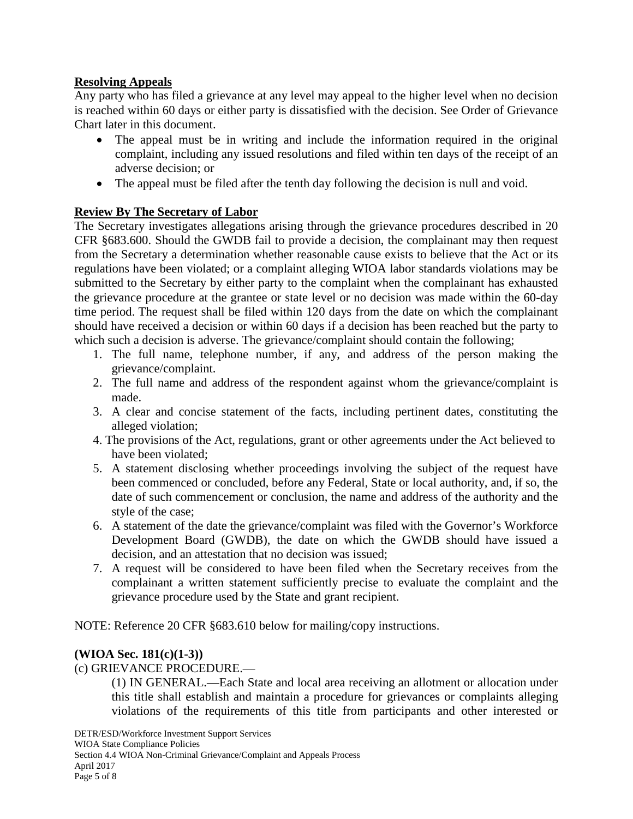## **Resolving Appeals**

Any party who has filed a grievance at any level may appeal to the higher level when no decision is reached within 60 days or either party is dissatisfied with the decision. See Order of Grievance Chart later in this document.

- The appeal must be in writing and include the information required in the original complaint, including any issued resolutions and filed within ten days of the receipt of an adverse decision; or
- The appeal must be filed after the tenth day following the decision is null and void.

## **Review By The Secretary of Labor**

The Secretary investigates allegations arising through the grievance procedures described in 20 CFR §683.600. Should the GWDB fail to provide a decision, the complainant may then request from the Secretary a determination whether reasonable cause exists to believe that the Act or its regulations have been violated; or a complaint alleging WIOA labor standards violations may be submitted to the Secretary by either party to the complaint when the complainant has exhausted the grievance procedure at the grantee or state level or no decision was made within the 60-day time period. The request shall be filed within 120 days from the date on which the complainant should have received a decision or within 60 days if a decision has been reached but the party to which such a decision is adverse. The grievance/complaint should contain the following;

- 1. The full name, telephone number, if any, and address of the person making the grievance/complaint.
- 2. The full name and address of the respondent against whom the grievance/complaint is made.
- 3. A clear and concise statement of the facts, including pertinent dates, constituting the alleged violation;
- 4. The provisions of the Act, regulations, grant or other agreements under the Act believed to have been violated;
- 5. A statement disclosing whether proceedings involving the subject of the request have been commenced or concluded, before any Federal, State or local authority, and, if so, the date of such commencement or conclusion, the name and address of the authority and the style of the case;
- 6. A statement of the date the grievance/complaint was filed with the Governor's Workforce Development Board (GWDB), the date on which the GWDB should have issued a decision, and an attestation that no decision was issued;
- 7. A request will be considered to have been filed when the Secretary receives from the complainant a written statement sufficiently precise to evaluate the complaint and the grievance procedure used by the State and grant recipient.

NOTE: Reference 20 CFR §683.610 below for mailing/copy instructions.

## **(WIOA Sec. 181(c)(1-3))**

(c) GRIEVANCE PROCEDURE.—

(1) IN GENERAL.—Each State and local area receiving an allotment or allocation under this title shall establish and maintain a procedure for grievances or complaints alleging violations of the requirements of this title from participants and other interested or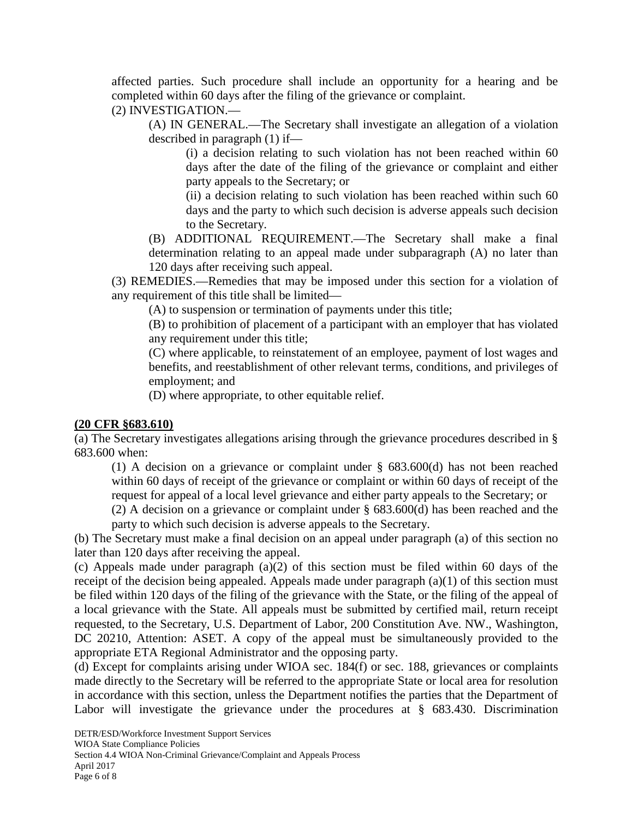affected parties. Such procedure shall include an opportunity for a hearing and be completed within 60 days after the filing of the grievance or complaint.

# (2) INVESTIGATION.—

(A) IN GENERAL.—The Secretary shall investigate an allegation of a violation described in paragraph (1) if—

(i) a decision relating to such violation has not been reached within 60 days after the date of the filing of the grievance or complaint and either party appeals to the Secretary; or

(ii) a decision relating to such violation has been reached within such 60 days and the party to which such decision is adverse appeals such decision to the Secretary.

(B) ADDITIONAL REQUIREMENT.—The Secretary shall make a final determination relating to an appeal made under subparagraph (A) no later than 120 days after receiving such appeal.

(3) REMEDIES.—Remedies that may be imposed under this section for a violation of any requirement of this title shall be limited—

(A) to suspension or termination of payments under this title;

(B) to prohibition of placement of a participant with an employer that has violated any requirement under this title;

(C) where applicable, to reinstatement of an employee, payment of lost wages and benefits, and reestablishment of other relevant terms, conditions, and privileges of employment; and

(D) where appropriate, to other equitable relief.

## **(20 CFR §683.610)**

(a) The Secretary investigates allegations arising through the grievance procedures described in § 683.600 when:

(1) A decision on a grievance or complaint under § 683.600(d) has not been reached within 60 days of receipt of the grievance or complaint or within 60 days of receipt of the request for appeal of a local level grievance and either party appeals to the Secretary; or

(2) A decision on a grievance or complaint under § 683.600(d) has been reached and the party to which such decision is adverse appeals to the Secretary.

(b) The Secretary must make a final decision on an appeal under paragraph (a) of this section no later than 120 days after receiving the appeal.

(c) Appeals made under paragraph (a)(2) of this section must be filed within 60 days of the receipt of the decision being appealed. Appeals made under paragraph (a)(1) of this section must be filed within 120 days of the filing of the grievance with the State, or the filing of the appeal of a local grievance with the State. All appeals must be submitted by certified mail, return receipt requested, to the Secretary, U.S. Department of Labor, 200 Constitution Ave. NW., Washington, DC 20210, Attention: ASET. A copy of the appeal must be simultaneously provided to the appropriate ETA Regional Administrator and the opposing party.

(d) Except for complaints arising under WIOA sec. 184(f) or sec. 188, grievances or complaints made directly to the Secretary will be referred to the appropriate State or local area for resolution in accordance with this section, unless the Department notifies the parties that the Department of Labor will investigate the grievance under the procedures at § 683.430. Discrimination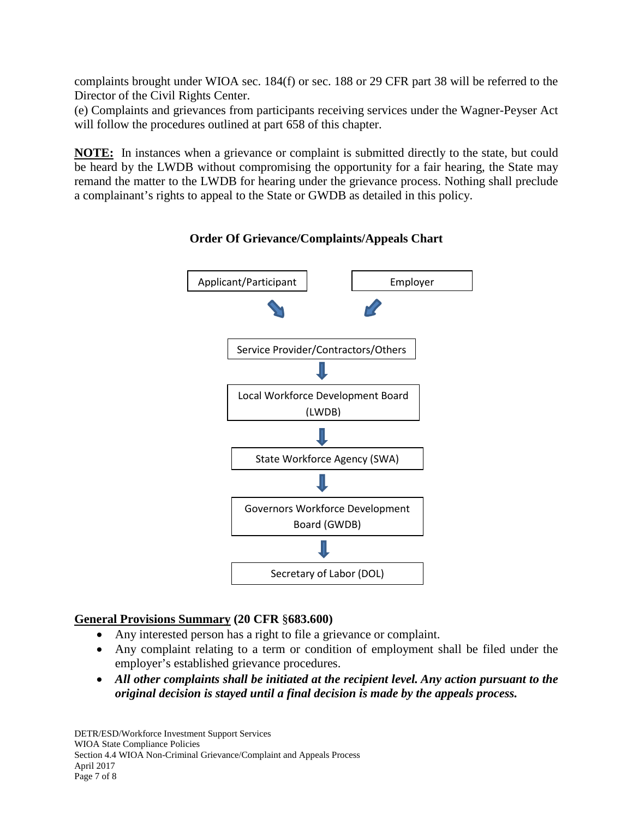complaints brought under WIOA sec. 184(f) or sec. 188 or 29 CFR part 38 will be referred to the Director of the Civil Rights Center.

(e) Complaints and grievances from participants receiving services under the Wagner-Peyser Act will follow the procedures outlined at part 658 of this chapter.

**NOTE:** In instances when a grievance or complaint is submitted directly to the state, but could be heard by the LWDB without compromising the opportunity for a fair hearing, the State may remand the matter to the LWDB for hearing under the grievance process. Nothing shall preclude a complainant's rights to appeal to the State or GWDB as detailed in this policy.



**Order Of Grievance/Complaints/Appeals Chart**

# **General Provisions Summary (20 CFR** §**683.600)**

- Any interested person has a right to file a grievance or complaint.
- Any complaint relating to a term or condition of employment shall be filed under the employer's established grievance procedures.
- *All other complaints shall be initiated at the recipient level. Any action pursuant to the original decision is stayed until a final decision is made by the appeals process.*